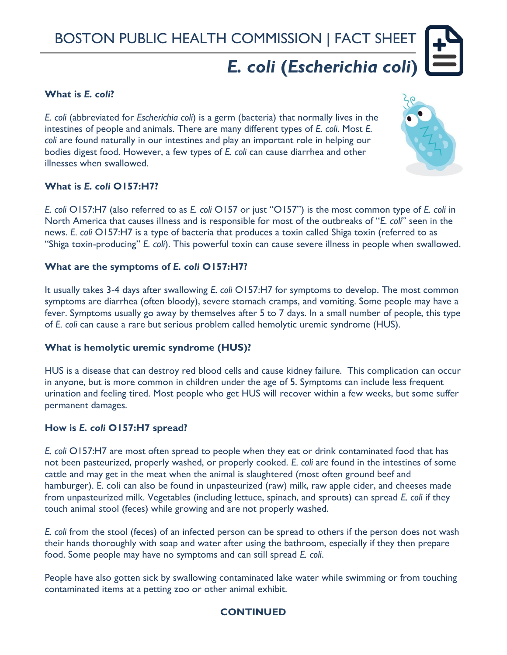# BOSTON PUBLIC HEALTH COMMISSION | FACT SHEET

# *E. coli* **(***Escherichia coli***)**

### **What is** *E. coli***?**

*E. coli* (abbreviated for *Escherichia coli*) is a germ (bacteria) that normally lives in the intestines of people and animals. There are many different types of *E. coli*. Most *E. coli* are found naturally in our intestines and play an important role in helping our bodies digest food. However, a few types of *E. coli* can cause diarrhea and other illnesses when swallowed.



# **What is** *E. coli* **O157:H7?**

*E. coli* O157:H7 (also referred to as *E. coli* O157 or just "O157") is the most common type of *E. coli* in North America that causes illness and is responsible for most of the outbreaks of "*E. coli*" seen in the news. *E. coli* O157:H7 is a type of bacteria that produces a toxin called Shiga toxin (referred to as "Shiga toxin-producing" *E. coli*). This powerful toxin can cause severe illness in people when swallowed.

#### **What are the symptoms of** *E. coli* **O157:H7?**

It usually takes 3-4 days after swallowing *E. coli* O157:H7 for symptoms to develop. The most common symptoms are diarrhea (often bloody), severe stomach cramps, and vomiting. Some people may have a fever. Symptoms usually go away by themselves after 5 to 7 days. In a small number of people, this type of *E. coli* can cause a rare but serious problem called hemolytic uremic syndrome (HUS).

#### **What is hemolytic uremic syndrome (HUS)?**

HUS is a disease that can destroy red blood cells and cause kidney failure. This complication can occur in anyone, but is more common in children under the age of 5. Symptoms can include less frequent urination and feeling tired. Most people who get HUS will recover within a few weeks, but some suffer permanent damages.

#### **How is** *E. coli* **O157:H7 spread?**

*E. coli* O157:H7 are most often spread to people when they eat or drink contaminated food that has not been pasteurized, properly washed, or properly cooked. *E. coli* are found in the intestines of some cattle and may get in the meat when the animal is slaughtered (most often ground beef and hamburger). E. coli can also be found in unpasteurized (raw) milk, raw apple cider, and cheeses made from unpasteurized milk. Vegetables (including lettuce, spinach, and sprouts) can spread *E. coli* if they touch animal stool (feces) while growing and are not properly washed.

*E. coli* from the stool (feces) of an infected person can be spread to others if the person does not wash their hands thoroughly with soap and water after using the bathroom, especially if they then prepare food. Some people may have no symptoms and can still spread *E. coli*.

People have also gotten sick by swallowing contaminated lake water while swimming or from touching contaminated items at a petting zoo or other animal exhibit.

# **CONTINUED**